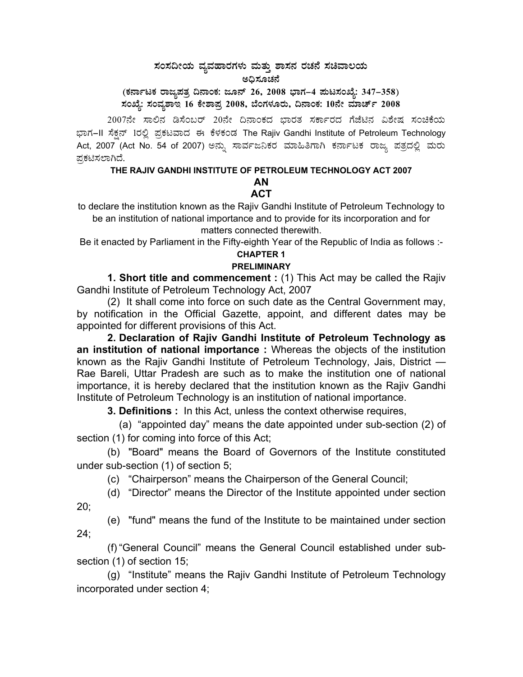## $\,$ ಸಂಸದೀಯ ವ್ಯವಹಾರಗಳು ಮತ್ತು ಶಾಸನ ರಚನೆ ಸಚಿವಾಲಯ ಅಧಿಸೂಚನೆ

(ಕರ್ನಾಟಕ ರಾಜ್ಯಪತ್ರ ದಿನಾಂಕ: ಜೂನ್ 26, 2008 ಭಾಗ–4 **ಮಟಸಂಖ್ಯೆ: 347–358**) **¸ÀASÉå: ¸ÀAªÀå±ÁE 16 PÉñÁ¥Àæ 2008, ¨ÉAUÀ¼ÀÆgÀÄ, ¢£ÁAPÀ: 10£Éà ªÀiÁZïð 2008** 

2007ನೇ ಸಾಲಿನ ಡಿಸೆಂಬರ್ 20ನೇ ದಿನಾಂಕದ ಭಾರತ ಸರ್ಕಾರದ ಗೆಜೆಟಿನ ವಿಶೇಷ ಸಂಚಿಕೆಯ ಭಾಗ–II ಸೆಕ್ಷನ್ 1ರಲ್ಲಿ ಪ್ರಕಟವಾದ ಈ ಕೆಳಕಂಡ The Rajiv Gandhi Institute of Petroleum Technology Act, 2007 (Act No. 54 of 2007) ಅನ್ನು ಸಾರ್ವಜನಿಕರ ಮಾಹಿತಿಗಾಗಿ ಕರ್ನಾಟಕ ರಾಜ್ಯ ಪತ್ರದಲ್ಲಿ ಮರು ಪ್ರಕಟಿಸಲಾಗಿದೆ.

# **THE RAJIV GANDHI INSTITUTE OF PETROLEUM TECHNOLOGY ACT 2007**

#### **AN ACT**

to declare the institution known as the Rajiv Gandhi Institute of Petroleum Technology to be an institution of national importance and to provide for its incorporation and for matters connected therewith.

Be it enacted by Parliament in the Fifty-eighth Year of the Republic of India as follows :-

#### **CHAPTER 1 PRELIMINARY**

**1. Short title and commencement :** (1) This Act may be called the Rajiv Gandhi Institute of Petroleum Technology Act, 2007

(2) It shall come into force on such date as the Central Government may, by notification in the Official Gazette, appoint, and different dates may be appointed for different provisions of this Act.

**2. Declaration of Rajiv Gandhi Institute of Petroleum Technology as an institution of national importance :** Whereas the objects of the institution known as the Rajiv Gandhi Institute of Petroleum Technology, Jais, District — Rae Bareli, Uttar Pradesh are such as to make the institution one of national importance, it is hereby declared that the institution known as the Rajiv Gandhi Institute of Petroleum Technology is an institution of national importance.

 **3. Definitions :** In this Act, unless the context otherwise requires,

 (a) "appointed day" means the date appointed under sub-section (2) of section (1) for coming into force of this Act;

 (b) "Board" means the Board of Governors of the Institute constituted under sub-section (1) of section 5;

(c) "Chairperson" means the Chairperson of the General Council;

 (d) "Director" means the Director of the Institute appointed under section 20;

 (e) "fund" means the fund of the Institute to be maintained under section 24;

 (f) "General Council" means the General Council established under subsection (1) of section 15;

 (g) "Institute" means the Rajiv Gandhi Institute of Petroleum Technology incorporated under section 4;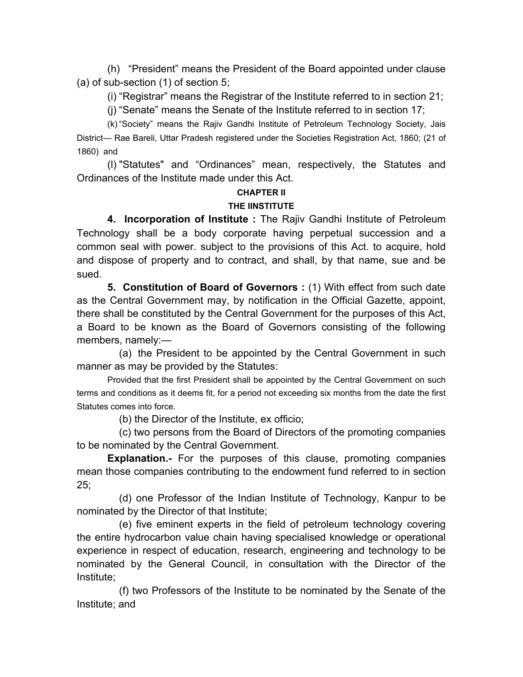(h) "President" means the President of the Board appointed under clause (a) of sub-section (1) of section 5;

(i) "Registrar" means the Registrar of the Institute referred to in section 21;

(j) "Senate" means the Senate of the Institute referred to in section 17;

 (k) "Society" means the Rajiv Gandhi Institute of Petroleum Technology Society, Jais District— Rae Bareli, Uttar Pradesh registered under the Societies Registration Act, 1860; (21 of 1860) and

 (l) "Statutes" and "Ordinances" mean, respectively, the Statutes and Ordinances of the Institute made under this Act.

### **CHAPTER II**

### **THE IINSTITUTE**

 **4. Incorporation of Institute :** The Rajiv Gandhi Institute of Petroleum Technology shall be a body corporate having perpetual succession and a common seal with power. subject to the provisions of this Act. to acquire, hold and dispose of property and to contract, and shall, by that name, sue and be sued.

 **5. Constitution of Board of Governors :** (1) With effect from such date as the Central Government may, by notification in the Official Gazette, appoint, there shall be constituted by the Central Government for the purposes of this Act, a Board to be known as the Board of Governors consisting of the following members, namely:—

 (a) the President to be appointed by the Central Government in such manner as may be provided by the Statutes:

 Provided that the first President shall be appointed by the Central Government on such terms and conditions as it deems fit, for a period not exceeding six months from the date the first Statutes comes into force.

(b) the Director of the Institute, ex officio;

 (c) two persons from the Board of Directors of the promoting companies to be nominated by the Central Government.

**Explanation.-** For the purposes of this clause, promoting companies mean those companies contributing to the endowment fund referred to in section 25;

 (d) one Professor of the Indian Institute of Technology, Kanpur to be nominated by the Director of that Institute;

 (e) five eminent experts in the field of petroleum technology covering the entire hydrocarbon value chain having specialised knowledge or operational experience in respect of education, research, engineering and technology to be nominated by the General Council, in consultation with the Director of the Institute;

 (f) two Professors of the Institute to be nominated by the Senate of the Institute; and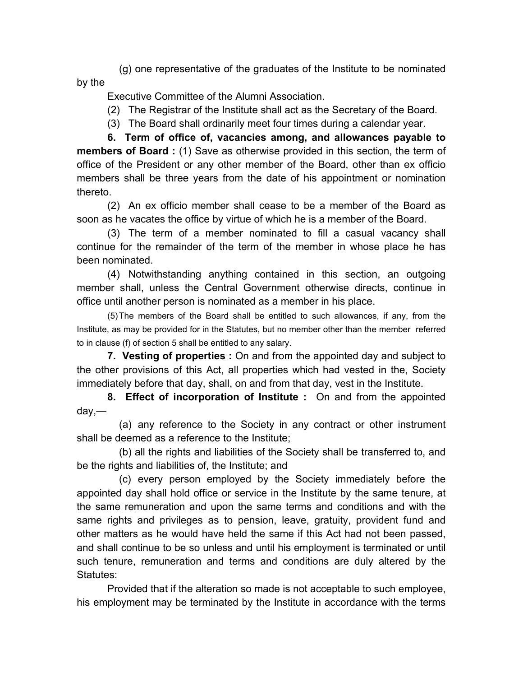(g) one representative of the graduates of the Institute to be nominated by the

Executive Committee of the Alumni Association.

- (2) The Registrar of the Institute shall act as the Secretary of the Board.
- (3) The Board shall ordinarily meet four times during a calendar year.

 **6. Term of office of, vacancies among, and allowances payable to members of Board :** (1) Save as otherwise provided in this section, the term of office of the President or any other member of the Board, other than ex officio members shall be three years from the date of his appointment or nomination thereto.

 (2) An ex officio member shall cease to be a member of the Board as soon as he vacates the office by virtue of which he is a member of the Board.

 (3) The term of a member nominated to fill a casual vacancy shall continue for the remainder of the term of the member in whose place he has been nominated.

 (4) Notwithstanding anything contained in this section, an outgoing member shall, unless the Central Government otherwise directs, continue in office until another person is nominated as a member in his place.

 (5) The members of the Board shall be entitled to such allowances, if any, from the Institute, as may be provided for in the Statutes, but no member other than the member referred to in clause (f) of section 5 shall be entitled to any salary.

 **7. Vesting of properties :** On and from the appointed day and subject to the other provisions of this Act, all properties which had vested in the, Society immediately before that day, shall, on and from that day, vest in the Institute.

 **8. Effect of incorporation of Institute :** On and from the appointed day,—

 (a) any reference to the Society in any contract or other instrument shall be deemed as a reference to the Institute;

 (b) all the rights and liabilities of the Society shall be transferred to, and be the rights and liabilities of, the Institute; and

 (c) every person employed by the Society immediately before the appointed day shall hold office or service in the Institute by the same tenure, at the same remuneration and upon the same terms and conditions and with the same rights and privileges as to pension, leave, gratuity, provident fund and other matters as he would have held the same if this Act had not been passed, and shall continue to be so unless and until his employment is terminated or until such tenure, remuneration and terms and conditions are duly altered by the Statutes:

 Provided that if the alteration so made is not acceptable to such employee, his employment may be terminated by the Institute in accordance with the terms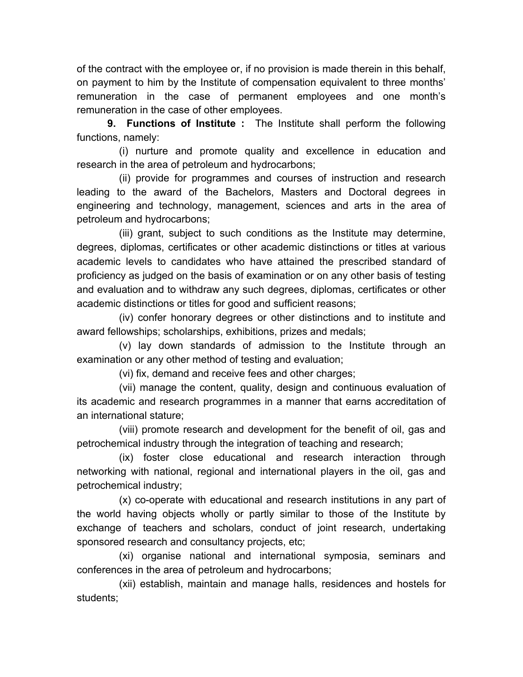of the contract with the employee or, if no provision is made therein in this behalf, on payment to him by the Institute of compensation equivalent to three months' remuneration in the case of permanent employees and one month's remuneration in the case of other employees.

 **9. Functions of Institute :** The Institute shall perform the following functions, namely:

 (i) nurture and promote quality and excellence in education and research in the area of petroleum and hydrocarbons;

 (ii) provide for programmes and courses of instruction and research leading to the award of the Bachelors, Masters and Doctoral degrees in engineering and technology, management, sciences and arts in the area of petroleum and hydrocarbons;

 (iii) grant, subject to such conditions as the Institute may determine, degrees, diplomas, certificates or other academic distinctions or titles at various academic levels to candidates who have attained the prescribed standard of proficiency as judged on the basis of examination or on any other basis of testing and evaluation and to withdraw any such degrees, diplomas, certificates or other academic distinctions or titles for good and sufficient reasons;

 (iv) confer honorary degrees or other distinctions and to institute and award fellowships; scholarships, exhibitions, prizes and medals;

 (v) lay down standards of admission to the Institute through an examination or any other method of testing and evaluation;

(vi) fix, demand and receive fees and other charges;

 (vii) manage the content, quality, design and continuous evaluation of its academic and research programmes in a manner that earns accreditation of an international stature;

 (viii) promote research and development for the benefit of oil, gas and petrochemical industry through the integration of teaching and research;

 (ix) foster close educational and research interaction through networking with national, regional and international players in the oil, gas and petrochemical industry;

 (x) co-operate with educational and research institutions in any part of the world having objects wholly or partly similar to those of the Institute by exchange of teachers and scholars, conduct of joint research, undertaking sponsored research and consultancy projects, etc;

 (xi) organise national and international symposia, seminars and conferences in the area of petroleum and hydrocarbons;

 (xii) establish, maintain and manage halls, residences and hostels for students;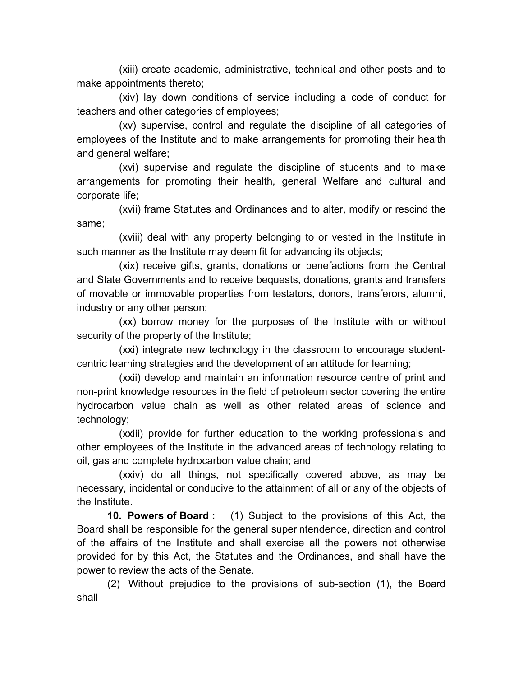(xiii) create academic, administrative, technical and other posts and to make appointments thereto;

 (xiv) lay down conditions of service including a code of conduct for teachers and other categories of employees;

 (xv) supervise, control and regulate the discipline of all categories of employees of the Institute and to make arrangements for promoting their health and general welfare;

 (xvi) supervise and regulate the discipline of students and to make arrangements for promoting their health, general Welfare and cultural and corporate life;

 (xvii) frame Statutes and Ordinances and to alter, modify or rescind the same;

 (xviii) deal with any property belonging to or vested in the Institute in such manner as the Institute may deem fit for advancing its objects;

 (xix) receive gifts, grants, donations or benefactions from the Central and State Governments and to receive bequests, donations, grants and transfers of movable or immovable properties from testators, donors, transferors, alumni, industry or any other person;

 (xx) borrow money for the purposes of the Institute with or without security of the property of the Institute;

 (xxi) integrate new technology in the classroom to encourage studentcentric learning strategies and the development of an attitude for learning;

 (xxii) develop and maintain an information resource centre of print and non-print knowledge resources in the field of petroleum sector covering the entire hydrocarbon value chain as well as other related areas of science and technology;

 (xxiii) provide for further education to the working professionals and other employees of the Institute in the advanced areas of technology relating to oil, gas and complete hydrocarbon value chain; and

 (xxiv) do all things, not specifically covered above, as may be necessary, incidental or conducive to the attainment of all or any of the objects of the Institute.

 **10. Powers of Board :** (1) Subject to the provisions of this Act, the Board shall be responsible for the general superintendence, direction and control of the affairs of the Institute and shall exercise all the powers not otherwise provided for by this Act, the Statutes and the Ordinances, and shall have the power to review the acts of the Senate.

 (2) Without prejudice to the provisions of sub-section (1), the Board shall—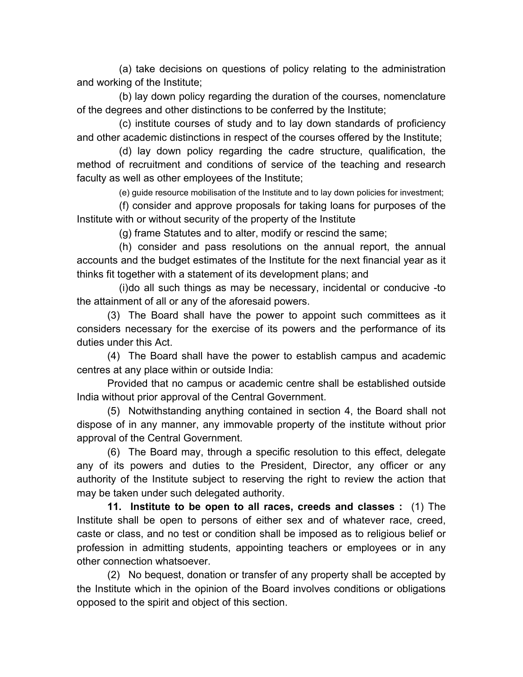(a) take decisions on questions of policy relating to the administration and working of the Institute;

 (b) lay down policy regarding the duration of the courses, nomenclature of the degrees and other distinctions to be conferred by the Institute;

 (c) institute courses of study and to lay down standards of proficiency and other academic distinctions in respect of the courses offered by the Institute;

 (d) lay down policy regarding the cadre structure, qualification, the method of recruitment and conditions of service of the teaching and research faculty as well as other employees of the Institute;

(e) guide resource mobilisation of the Institute and to lay down policies for investment;

 (f) consider and approve proposals for taking loans for purposes of the Institute with or without security of the property of the Institute

(g) frame Statutes and to alter, modify or rescind the same;

 (h) consider and pass resolutions on the annual report, the annual accounts and the budget estimates of the Institute for the next financial year as it thinks fit together with a statement of its development plans; and

 (i) do all such things as may be necessary, incidental or conducive -to the attainment of all or any of the aforesaid powers.

 (3) The Board shall have the power to appoint such committees as it considers necessary for the exercise of its powers and the performance of its duties under this Act.

 (4) The Board shall have the power to establish campus and academic centres at any place within or outside India:

 Provided that no campus or academic centre shall be established outside India without prior approval of the Central Government.

 (5) Notwithstanding anything contained in section 4, the Board shall not dispose of in any manner, any immovable property of the institute without prior approval of the Central Government.

 (6) The Board may, through a specific resolution to this effect, delegate any of its powers and duties to the President, Director, any officer or any authority of the Institute subject to reserving the right to review the action that may be taken under such delegated authority.

 **11. Institute to be open to all races, creeds and classes :** (1) The Institute shall be open to persons of either sex and of whatever race, creed, caste or class, and no test or condition shall be imposed as to religious belief or profession in admitting students, appointing teachers or employees or in any other connection whatsoever.

 (2) No bequest, donation or transfer of any property shall be accepted by the Institute which in the opinion of the Board involves conditions or obligations opposed to the spirit and object of this section.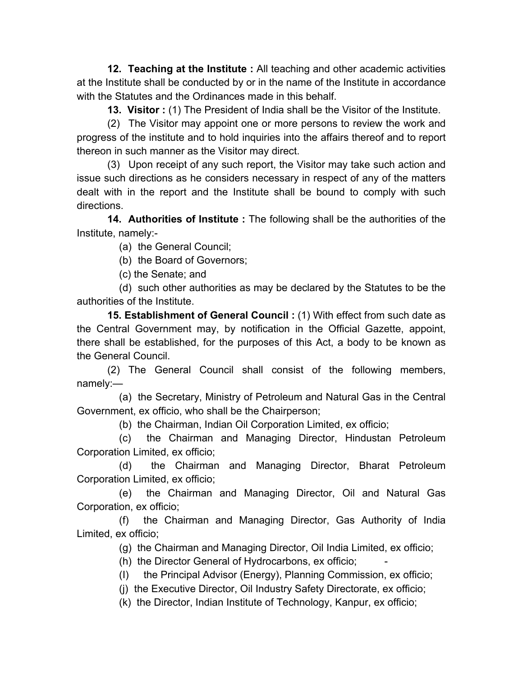**12. Teaching at the Institute :** All teaching and other academic activities at the Institute shall be conducted by or in the name of the Institute in accordance with the Statutes and the Ordinances made in this behalf.

 **13. Visitor :** (1) The President of India shall be the Visitor of the Institute.

 (2) The Visitor may appoint one or more persons to review the work and progress of the institute and to hold inquiries into the affairs thereof and to report thereon in such manner as the Visitor may direct.

 (3) Upon receipt of any such report, the Visitor may take such action and issue such directions as he considers necessary in respect of any of the matters dealt with in the report and the Institute shall be bound to comply with such directions.

 **14. Authorities of Institute :** The following shall be the authorities of the Institute, namely:-

(a) the General Council;

(b) the Board of Governors;

(c) the Senate; and

 (d) such other authorities as may be declared by the Statutes to be the authorities of the Institute.

 **15. Establishment of General Council :** (1) With effect from such date as the Central Government may, by notification in the Official Gazette, appoint, there shall be established, for the purposes of this Act, a body to be known as the General Council.

 (2) The General Council shall consist of the following members, namely:—

 (a) the Secretary, Ministry of Petroleum and Natural Gas in the Central Government, ex officio, who shall be the Chairperson;

(b) the Chairman, Indian Oil Corporation Limited, ex officio;

 (c) the Chairman and Managing Director, Hindustan Petroleum Corporation Limited, ex officio;

 (d) the Chairman and Managing Director, Bharat Petroleum Corporation Limited, ex officio;

 (e) the Chairman and Managing Director, Oil and Natural Gas Corporation, ex officio;

 (f) the Chairman and Managing Director, Gas Authority of India Limited, ex officio;

(g) the Chairman and Managing Director, Oil India Limited, ex officio;

(h) the Director General of Hydrocarbons, ex officio;

(I) the Principal Advisor (Energy), Planning Commission, ex officio;

(j) the Executive Director, Oil Industry Safety Directorate, ex officio;

(k) the Director, Indian Institute of Technology, Kanpur, ex officio;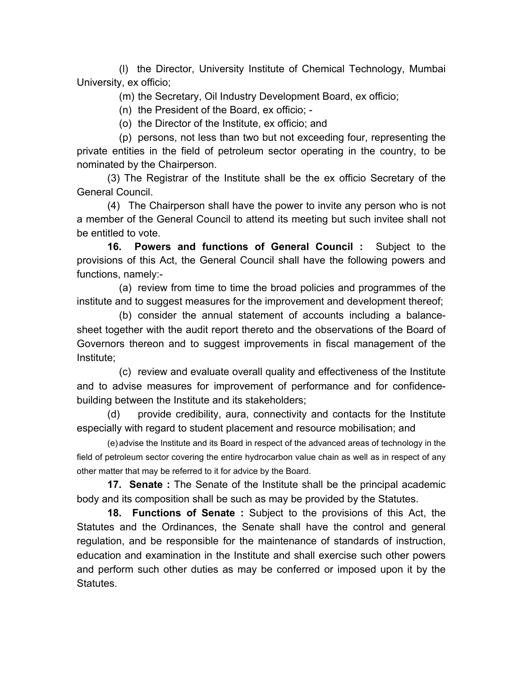(l) the Director, University Institute of Chemical Technology, Mumbai University, ex officio;

(m) the Secretary, Oil Industry Development Board, ex officio;

(n) the President of the Board, ex officio; -

(o) the Director of the Institute, ex officio; and

 (p) persons, not less than two but not exceeding four, representing the private entities in the field of petroleum sector operating in the country, to be nominated by the Chairperson.

 (3) The Registrar of the Institute shall be the ex officio Secretary of the General Council.

 (4) The Chairperson shall have the power to invite any person who is not a member of the General Council to attend its meeting but such invitee shall not be entitled to vote.

 **16. Powers and functions of General Council :** Subject to the provisions of this Act, the General Council shall have the following powers and functions, namely:-

 (a) review from time to time the broad policies and programmes of the institute and to suggest measures for the improvement and development thereof;

 (b) consider the annual statement of accounts including a balancesheet together with the audit report thereto and the observations of the Board of Governors thereon and to suggest improvements in fiscal management of the Institute;

 (c) review and evaluate overall quality and effectiveness of the Institute and to advise measures for improvement of performance and for confidencebuilding between the Institute and its stakeholders;

 (d) provide credibility, aura, connectivity and contacts for the Institute especially with regard to student placement and resource mobilisation; and

 (e) advise the Institute and its Board in respect of the advanced areas of technology in the field of petroleum sector covering the entire hydrocarbon value chain as well as in respect of any other matter that may be referred to it for advice by the Board.

 **17. Senate :** The Senate of the Institute shall be the principal academic body and its composition shall be such as may be provided by the Statutes.

 **18. Functions of Senate :** Subject to the provisions of this Act, the Statutes and the Ordinances, the Senate shall have the control and general regulation, and be responsible for the maintenance of standards of instruction, education and examination in the Institute and shall exercise such other powers and perform such other duties as may be conferred or imposed upon it by the Statutes.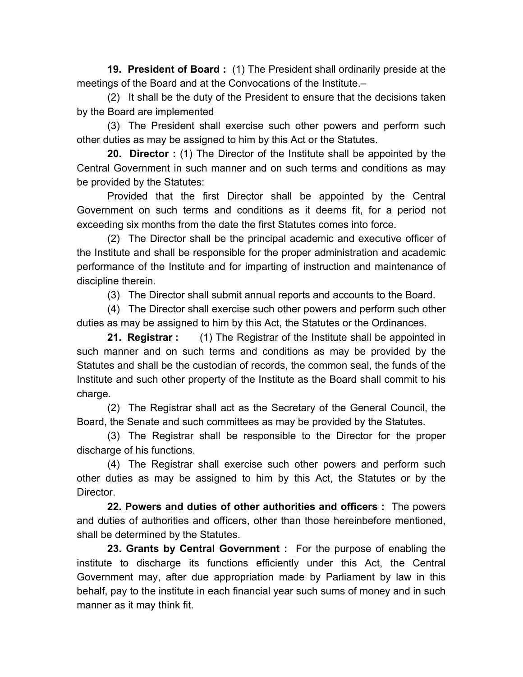**19. President of Board :** (1) The President shall ordinarily preside at the meetings of the Board and at the Convocations of the Institute.–

 (2) It shall be the duty of the President to ensure that the decisions taken by the Board are implemented

 (3) The President shall exercise such other powers and perform such other duties as may be assigned to him by this Act or the Statutes.

 **20. Director :** (1) The Director of the Institute shall be appointed by the Central Government in such manner and on such terms and conditions as may be provided by the Statutes:

 Provided that the first Director shall be appointed by the Central Government on such terms and conditions as it deems fit, for a period not exceeding six months from the date the first Statutes comes into force.

 (2) The Director shall be the principal academic and executive officer of the Institute and shall be responsible for the proper administration and academic performance of the Institute and for imparting of instruction and maintenance of discipline therein.

(3) The Director shall submit annual reports and accounts to the Board.

 (4) The Director shall exercise such other powers and perform such other duties as may be assigned to him by this Act, the Statutes or the Ordinances.

 **21. Registrar :** (1) The Registrar of the Institute shall be appointed in such manner and on such terms and conditions as may be provided by the Statutes and shall be the custodian of records, the common seal, the funds of the Institute and such other property of the Institute as the Board shall commit to his charge.

 (2) The Registrar shall act as the Secretary of the General Council, the Board, the Senate and such committees as may be provided by the Statutes.

 (3) The Registrar shall be responsible to the Director for the proper discharge of his functions.

 (4) The Registrar shall exercise such other powers and perform such other duties as may be assigned to him by this Act, the Statutes or by the Director.

 **22. Powers and duties of other authorities and officers :** The powers and duties of authorities and officers, other than those hereinbefore mentioned, shall be determined by the Statutes.

 **23. Grants by Central Government :** For the purpose of enabling the institute to discharge its functions efficiently under this Act, the Central Government may, after due appropriation made by Parliament by law in this behalf, pay to the institute in each financial year such sums of money and in such manner as it may think fit.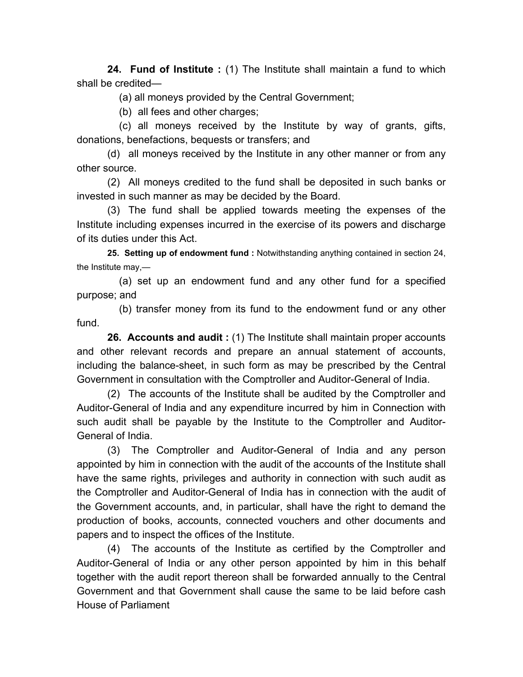**24. Fund of Institute :** (1) The Institute shall maintain a fund to which shall be credited—

(a) all moneys provided by the Central Government;

(b) all fees and other charges;

 (c) all moneys received by the Institute by way of grants, gifts, donations, benefactions, bequests or transfers; and

 (d) all moneys received by the Institute in any other manner or from any other source.

 (2) All moneys credited to the fund shall be deposited in such banks or invested in such manner as may be decided by the Board.

 (3) The fund shall be applied towards meeting the expenses of the Institute including expenses incurred in the exercise of its powers and discharge of its duties under this Act.

 **25. Setting up of endowment fund :** Notwithstanding anything contained in section 24, the Institute may,—

 (a) set up an endowment fund and any other fund for a specified purpose; and

 (b) transfer money from its fund to the endowment fund or any other fund.

 **26. Accounts and audit :** (1) The Institute shall maintain proper accounts and other relevant records and prepare an annual statement of accounts, including the balance-sheet, in such form as may be prescribed by the Central Government in consultation with the Comptroller and Auditor-General of India.

 (2) The accounts of the Institute shall be audited by the Comptroller and Auditor-General of India and any expenditure incurred by him in Connection with such audit shall be payable by the Institute to the Comptroller and Auditor-General of India.

 (3) The Comptroller and Auditor-General of India and any person appointed by him in connection with the audit of the accounts of the Institute shall have the same rights, privileges and authority in connection with such audit as the Comptroller and Auditor-General of India has in connection with the audit of the Government accounts, and, in particular, shall have the right to demand the production of books, accounts, connected vouchers and other documents and papers and to inspect the offices of the Institute.

 (4) The accounts of the Institute as certified by the Comptroller and Auditor-General of India or any other person appointed by him in this behalf together with the audit report thereon shall be forwarded annually to the Central Government and that Government shall cause the same to be laid before cash House of Parliament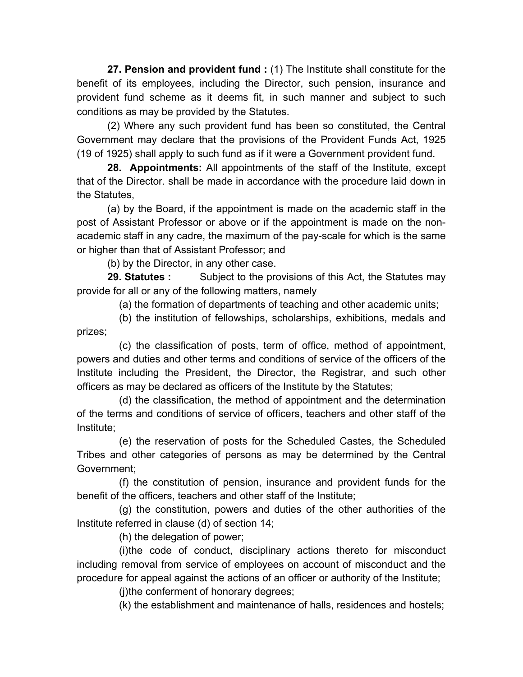**27. Pension and provident fund :** (1) The Institute shall constitute for the benefit of its employees, including the Director, such pension, insurance and provident fund scheme as it deems fit, in such manner and subject to such conditions as may be provided by the Statutes.

 (2) Where any such provident fund has been so constituted, the Central Government may declare that the provisions of the Provident Funds Act, 1925 (19 of 1925) shall apply to such fund as if it were a Government provident fund.

 **28. Appointments:** All appointments of the staff of the Institute, except that of the Director. shall be made in accordance with the procedure laid down in the Statutes,

 (a) by the Board, if the appointment is made on the academic staff in the post of Assistant Professor or above or if the appointment is made on the nonacademic staff in any cadre, the maximum of the pay-scale for which is the same or higher than that of Assistant Professor; and

(b) by the Director, in any other case.

**29. Statutes :** Subject to the provisions of this Act, the Statutes may provide for all or any of the following matters, namely

(a) the formation of departments of teaching and other academic units;

 (b) the institution of fellowships, scholarships, exhibitions, medals and prizes;

 (c) the classification of posts, term of office, method of appointment, powers and duties and other terms and conditions of service of the officers of the Institute including the President, the Director, the Registrar, and such other officers as may be declared as officers of the Institute by the Statutes;

 (d) the classification, the method of appointment and the determination of the terms and conditions of service of officers, teachers and other staff of the Institute;

 (e) the reservation of posts for the Scheduled Castes, the Scheduled Tribes and other categories of persons as may be determined by the Central Government;

 (f) the constitution of pension, insurance and provident funds for the benefit of the officers, teachers and other staff of the Institute;

 (g) the constitution, powers and duties of the other authorities of the Institute referred in clause (d) of section 14;

(h) the delegation of power;

 (i) the code of conduct, disciplinary actions thereto for misconduct including removal from service of employees on account of misconduct and the procedure for appeal against the actions of an officer or authority of the Institute;

(i) the conferment of honorary degrees;

(k) the establishment and maintenance of halls, residences and hostels;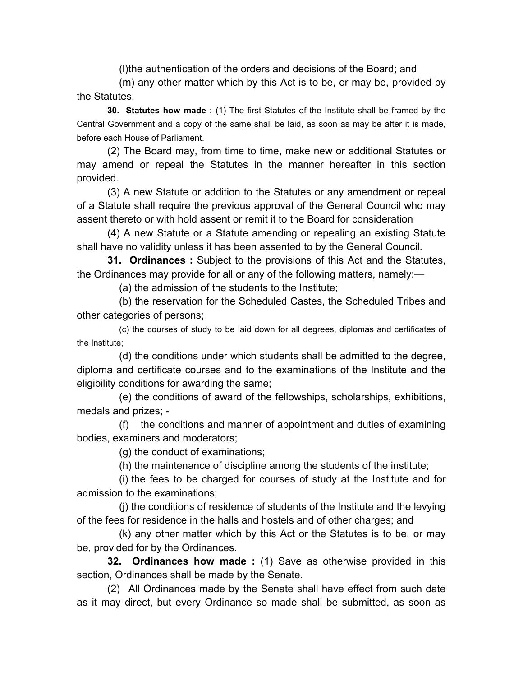(l) the authentication of the orders and decisions of the Board; and

 (m) any other matter which by this Act is to be, or may be, provided by the Statutes.

 **30. Statutes how made :** (1) The first Statutes of the Institute shall be framed by the Central Government and a copy of the same shall be laid, as soon as may be after it is made, before each House of Parliament.

 (2) The Board may, from time to time, make new or additional Statutes or may amend or repeal the Statutes in the manner hereafter in this section provided.

 (3) A new Statute or addition to the Statutes or any amendment or repeal of a Statute shall require the previous approval of the General Council who may assent thereto or with hold assent or remit it to the Board for consideration

 (4) A new Statute or a Statute amending or repealing an existing Statute shall have no validity unless it has been assented to by the General Council.

 **31. Ordinances :** Subject to the provisions of this Act and the Statutes, the Ordinances may provide for all or any of the following matters, namely:—

(a) the admission of the students to the Institute;

 (b) the reservation for the Scheduled Castes, the Scheduled Tribes and other categories of persons;

 (c) the courses of study to be laid down for all degrees, diplomas and certificates of the Institute;

 (d) the conditions under which students shall be admitted to the degree, diploma and certificate courses and to the examinations of the Institute and the eligibility conditions for awarding the same;

 (e) the conditions of award of the fellowships, scholarships, exhibitions, medals and prizes; -

 (f) the conditions and manner of appointment and duties of examining bodies, examiners and moderators;

(g) the conduct of examinations;

(h) the maintenance of discipline among the students of the institute;

(i) the fees to be charged for courses of study at the Institute and for admission to the examinations;

 (j) the conditions of residence of students of the Institute and the levying of the fees for residence in the halls and hostels and of other charges; and

 (k) any other matter which by this Act or the Statutes is to be, or may be, provided for by the Ordinances.

 **32. Ordinances how made :** (1) Save as otherwise provided in this section, Ordinances shall be made by the Senate.

 (2) All Ordinances made by the Senate shall have effect from such date as it may direct, but every Ordinance so made shall be submitted, as soon as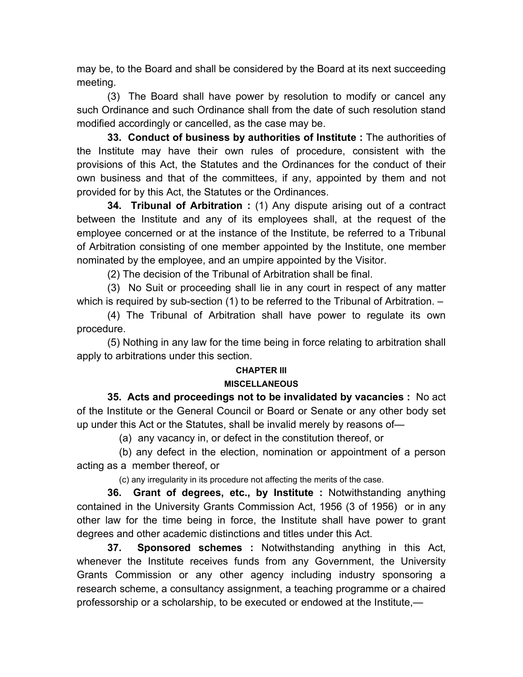may be, to the Board and shall be considered by the Board at its next succeeding meeting.

 (3) The Board shall have power by resolution to modify or cancel any such Ordinance and such Ordinance shall from the date of such resolution stand modified accordingly or cancelled, as the case may be.

 **33. Conduct of business by authorities of Institute :** The authorities of the Institute may have their own rules of procedure, consistent with the provisions of this Act, the Statutes and the Ordinances for the conduct of their own business and that of the committees, if any, appointed by them and not provided for by this Act, the Statutes or the Ordinances.

 **34. Tribunal of Arbitration :** (1) Any dispute arising out of a contract between the Institute and any of its employees shall, at the request of the employee concerned or at the instance of the Institute, be referred to a Tribunal of Arbitration consisting of one member appointed by the Institute, one member nominated by the employee, and an umpire appointed by the Visitor.

(2) The decision of the Tribunal of Arbitration shall be final.

 (3) No Suit or proceeding shall lie in any court in respect of any matter which is required by sub-section (1) to be referred to the Tribunal of Arbitration. –

 (4) The Tribunal of Arbitration shall have power to regulate its own procedure.

 (5) Nothing in any law for the time being in force relating to arbitration shall apply to arbitrations under this section.

## **CHAPTER III**

#### **MISCELLANEOUS**

 **35. Acts and proceedings not to be invalidated by vacancies :** No act of the Institute or the General Council or Board or Senate or any other body set up under this Act or the Statutes, shall be invalid merely by reasons of—

(a) any vacancy in, or defect in the constitution thereof, or

 (b) any defect in the election, nomination or appointment of a person acting as a member thereof, or

(c) any irregularity in its procedure not affecting the merits of the case.

 **36. Grant of degrees, etc., by Institute :** Notwithstanding anything contained in the University Grants Commission Act, 1956 (3 of 1956) or in any other law for the time being in force, the Institute shall have power to grant degrees and other academic distinctions and titles under this Act.

 **37. Sponsored schemes :** Notwithstanding anything in this Act, whenever the Institute receives funds from any Government, the University Grants Commission or any other agency including industry sponsoring a research scheme, a consultancy assignment, a teaching programme or a chaired professorship or a scholarship, to be executed or endowed at the Institute,—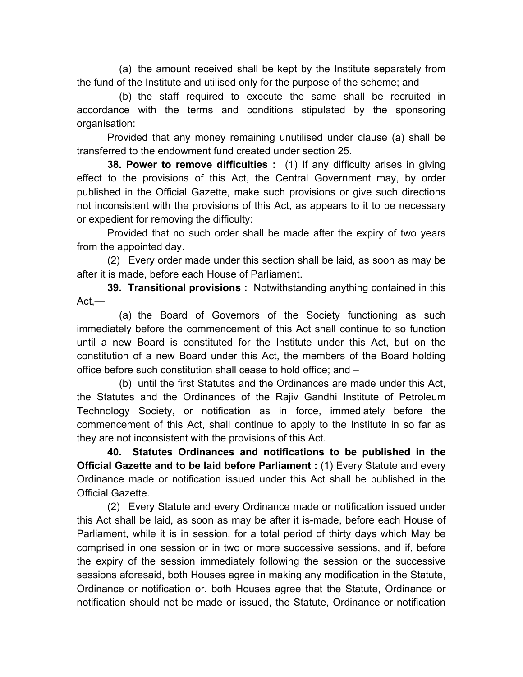(a) the amount received shall be kept by the Institute separately from the fund of the Institute and utilised only for the purpose of the scheme; and

 (b) the staff required to execute the same shall be recruited in accordance with the terms and conditions stipulated by the sponsoring organisation:

 Provided that any money remaining unutilised under clause (a) shall be transferred to the endowment fund created under section 25.

 **38. Power to remove difficulties :** (1) If any difficulty arises in giving effect to the provisions of this Act, the Central Government may, by order published in the Official Gazette, make such provisions or give such directions not inconsistent with the provisions of this Act, as appears to it to be necessary or expedient for removing the difficulty:

 Provided that no such order shall be made after the expiry of two years from the appointed day.

 (2) Every order made under this section shall be laid, as soon as may be after it is made, before each House of Parliament.

 **39. Transitional provisions :** Notwithstanding anything contained in this Act,—

 (a) the Board of Governors of the Society functioning as such immediately before the commencement of this Act shall continue to so function until a new Board is constituted for the Institute under this Act, but on the constitution of a new Board under this Act, the members of the Board holding office before such constitution shall cease to hold office; and –

 (b) until the first Statutes and the Ordinances are made under this Act, the Statutes and the Ordinances of the Rajiv Gandhi Institute of Petroleum Technology Society, or notification as in force, immediately before the commencement of this Act, shall continue to apply to the Institute in so far as they are not inconsistent with the provisions of this Act.

**40. Statutes Ordinances and notifications to be published in the Official Gazette and to be laid before Parliament :** (1) Every Statute and every Ordinance made or notification issued under this Act shall be published in the Official Gazette.

 (2) Every Statute and every Ordinance made or notification issued under this Act shall be laid, as soon as may be after it is-made, before each House of Parliament, while it is in session, for a total period of thirty days which May be comprised in one session or in two or more successive sessions, and if, before the expiry of the session immediately following the session or the successive sessions aforesaid, both Houses agree in making any modification in the Statute, Ordinance or notification or. both Houses agree that the Statute, Ordinance or notification should not be made or issued, the Statute, Ordinance or notification